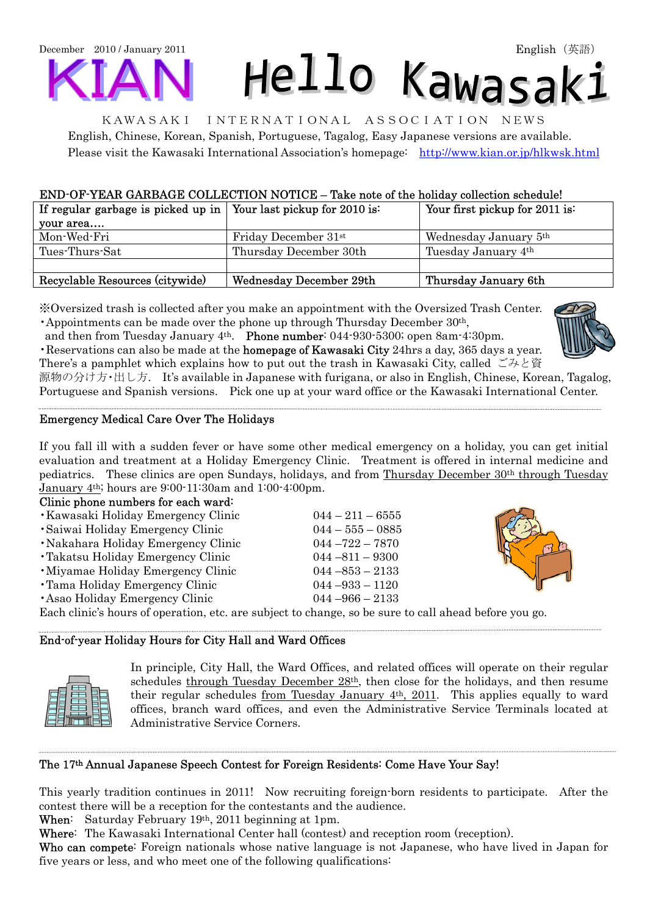December 2010 / January 2011 Hello Kawasak:

KAWASAKI INTERNATIONAL ASSOCIATION NEWS English, Chinese, Korean, Spanish, Portuguese, Tagalog, Easy Japanese versions are available. Please visit the Kawasaki International Association's homepage: <http://www.kian.or.jp/hlkwsk.html>

# END-OF-YEAR GARBAGE COLLECTION NOTICE – Take note of the holiday collection schedule!

| If regular garbage is picked up in   Your last pickup for 2010 is: |                                  | Your first pickup for 2011 is:    |  |
|--------------------------------------------------------------------|----------------------------------|-----------------------------------|--|
| your area                                                          |                                  |                                   |  |
| Mon-Wed-Fri                                                        | Friday December 31 <sup>st</sup> | Wednesday January 5 <sup>th</sup> |  |
| Tues-Thurs-Sat                                                     | Thursday December 30th           | Tuesday January 4th               |  |
|                                                                    |                                  |                                   |  |
| Recyclable Resources (citywide)                                    | Wednesday December 29th          | Thursday January 6th              |  |

※Oversized trash is collected after you make an appointment with the Oversized Trash Center. •Appointments can be made over the phone up through Thursday December  $30<sup>th</sup>$ ,

and then from Tuesday January 4<sup>th</sup>. Phone number: 044-930-5300; open 8am-4:30pm. •Reservations can also be made at the homepage of Kawasaki City 24hrs a day, 365 days a year. There's a pamphlet which explains how to put out the trash in Kawasaki City, called  $\check{\smile}$   $\mathcal{F}$   $\check{\mathcal{E}}$   $\check{\mathcal{E}}$ 

源物の分け方・出し方. It's available in Japanese with furigana, or also in English, Chinese, Korean, Tagalog, Portuguese and Spanish versions. Pick one up at your ward office or the Kawasaki International Center.

# Emergency Medical Care Over The Holidays

If you fall ill with a sudden fever or have some other medical emergency on a holiday, you can get initial evaluation and treatment at a Holiday Emergency Clinic. Treatment is offered in internal medicine and pediatrics. These clinics are open Sundays, holidays, and from Thursday December 30th through Tuesday January 4th; hours are 9:00-11:30am and 1:00-4:00pm.

### Clinic phone numbers for each ward:

- •Kawasaki Holiday Emergency Clinic 044 211 6555
- •Saiwai Holiday Emergency Clinic 044 555 0885
- •Nakahara Holiday Emergency Clinic 044 –722 7870
- •Takatsu Holiday Emergency Clinic 044 –811 9300
- •Miyamae Holiday Emergency Clinic 044 –853 2133
- •Tama Holiday Emergency Clinic 044 –933 1120
- •Asao Holiday Emergency Clinic 044 –966 2133

Each clinic's hours of operation, etc. are subject to change, so be sure to call ahead before you go.

### End-of-year Holiday Hours for City Hall and Ward Offices



..

In principle, City Hall, the Ward Offices, and related offices will operate on their regular schedules through Tuesday December 28th, then close for the holidays, and then resume their regular schedules from Tuesday January 4th, 2011. This applies equally to ward offices, branch ward offices, and even the Administrative Service Terminals located at Administrative Service Corners.

# The 17th Annual Japanese Speech Contest for Foreign Residents: Come Have Your Say!

This yearly tradition continues in 2011! Now recruiting foreign-born residents to participate. After the contest there will be a reception for the contestants and the audience.

When: Saturday February 19th, 2011 beginning at 1pm.

Where: The Kawasaki International Center hall (contest) and reception room (reception).

Who can compete: Foreign nationals whose native language is not Japanese, who have lived in Japan for five years or less, and who meet one of the following qualifications: